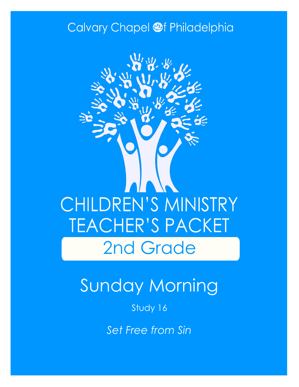### Calvary Chapel @f Philadelphia



# Sunday Morning

Study 16

*Set Free from Sin*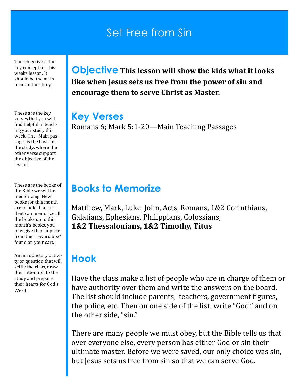### Set Free from Sin

The Objective is the key concept for this weeks lesson. It should be the main focus of the study

These are the key verses that you will find helpful in teaching your study this week. The "Main passage" is the basis of the study, where the other verse support the objective of the lesson.

These are the books of the Bible we will be memorizing. New books for this month are in bold. If a student can memorize all the books up to this month's books, you may give them a prize from the "reward box" found on your cart.

An introductory activity or question that will settle the class, draw their attention to the study and prepare their hearts for God's Word.

**Objective This lesson will show the kids what it looks like when Jesus sets us free from the power of sin and encourage them to serve Christ as Master.**

#### **Key Verses**

Romans 6; Mark 5:1-20—Main Teaching Passages

### **Books to Memorize**

Matthew, Mark, Luke, John, Acts, Romans, 1&2 Corinthians, Galatians, Ephesians, Philippians, Colossians, **1&2 Thessalonians, 1&2 Timothy, Titus**

### **Hook**

Have the class make a list of people who are in charge of them or have authority over them and write the answers on the board. The list should include parents, teachers, government figures, the police, etc. Then on one side of the list, write "God," and on the other side, "sin."

There are many people we must obey, but the Bible tells us that over everyone else, every person has either God or sin their ultimate master. Before we were saved, our only choice was sin, but Jesus sets us free from sin so that we can serve God.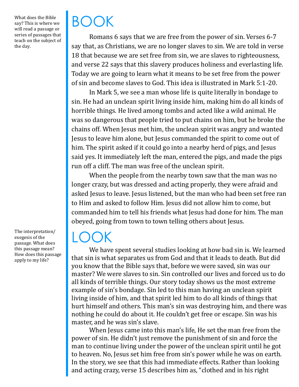What does the Bible say? This is where we will read a passage or series of passages that teach on the subject of the day.

The interpretation/ exegesis of the passage. What does this passage mean? How does this passage apply to my life?

# BOOK

Romans 6 says that we are free from the power of sin. Verses 6-7 say that, as Christians, we are no longer slaves to sin. We are told in verse 18 that because we are set free from sin, we are slaves to righteousness, and verse 22 says that this slavery produces holiness and everlasting life. Today we are going to learn what it means to be set free from the power of sin and become slaves to God. This idea is illustrated in Mark 5:1-20.

In Mark 5, we see a man whose life is quite literally in bondage to sin. He had an unclean spirit living inside him, making him do all kinds of horrible things. He lived among tombs and acted like a wild animal. He was so dangerous that people tried to put chains on him, but he broke the chains off. When Jesus met him, the unclean spirit was angry and wanted Jesus to leave him alone, but Jesus commanded the spirit to come out of him. The spirit asked if it could go into a nearby herd of pigs, and Jesus said yes. It immediately left the man, entered the pigs, and made the pigs run off a cliff. The man was free of the unclean spirit.

When the people from the nearby town saw that the man was no longer crazy, but was dressed and acting properly, they were afraid and asked Jesus to leave. Jesus listened, but the man who had been set free ran to Him and asked to follow Him. Jesus did not allow him to come, but commanded him to tell his friends what Jesus had done for him. The man obeyed, going from town to town telling others about Jesus.

### $\vert$  ( )( )K

We have spent several studies looking at how bad sin is. We learned that sin is what separates us from God and that it leads to death. But did you know that the Bible says that, before we were saved, sin was our master? We were slaves to sin. Sin controlled our lives and forced us to do all kinds of terrible things. Our story today shows us the most extreme example of sin's bondage. Sin led to this man having an unclean spirit living inside of him, and that spirit led him to do all kinds of things that hurt himself and others. This man's sin was destroying him, and there was nothing he could do about it. He couldn't get free or escape. Sin was his master, and he was sin's slave.

When Jesus came into this man's life, He set the man free from the power of sin. He didn't just remove the punishment of sin and force the man to continue living under the power of the unclean spirit until he got to heaven. No, Jesus set him free from sin's power while he was on earth. In the story, we see that this had immediate effects. Rather than looking and acting crazy, verse 15 describes him as, "clothed and in his right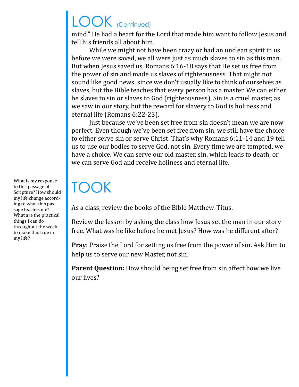# LOOK (Continued)

mind." He had a heart for the Lord that made him want to follow Jesus and tell his friends all about him.

While we might not have been crazy or had an unclean spirit in us before we were saved, we all were just as much slaves to sin as this man. But when Jesus saved us, Romans 6:16-18 says that He set us free from the power of sin and made us slaves of righteousness. That might not sound like good news, since we don't usually like to think of ourselves as slaves, but the Bible teaches that every person has a master. We can either be slaves to sin or slaves to God (righteousness). Sin is a cruel master, as we saw in our story, but the reward for slavery to God is holiness and eternal life (Romans 6:22-23).

Just because we've been set free from sin doesn't mean we are now perfect. Even though we've been set free from sin, we still have the choice to either serve sin or serve Christ. That's why Romans 6:11-14 and 19 tell us to use our bodies to serve God, not sin. Every time we are tempted, we have a choice. We can serve our old master, sin, which leads to death, or we can serve God and receive holiness and eternal life.

# TOOK

As a class, review the books of the Bible Matthew-Titus.

Review the lesson by asking the class how Jesus set the man in our story free. What was he like before he met Jesus? How was he different after?

**Pray:** Praise the Lord for setting us free from the power of sin. Ask Him to help us to serve our new Master, not sin.

**Parent Question:** How should being set free from sin affect how we live our lives?

What is my response to this passage of Scripture? How should my life change according to what this passage teaches me? What are the practical things I can do throughout the week to make this true in my life?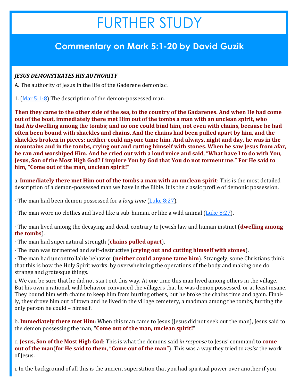## FURTHER STUDY

### **Commentary on Mark 5:1-20 by David Guzik**

#### *JESUS DEMONSTRATES HIS AUTHORITY*

A. The authority of Jesus in the life of the Gaderene demoniac.

1. [\(Mar 5:1](https://www.blueletterbible.org/kjv/mark/5/1-8/s_962001)-8) The description of the demon-possessed man.

**Then they came to the other side of the sea, to the country of the Gadarenes. And when He had come out of the boat, immediately there met Him out of the tombs a man with an unclean spirit, who had** *his* **dwelling among the tombs; and no one could bind him, not even with chains, because he had often been bound with shackles and chains. And the chains had been pulled apart by him, and the shackles broken in pieces; neither could anyone tame him. And always, night and day, he was in the mountains and in the tombs, crying out and cutting himself with stones. When he saw Jesus from afar, he ran and worshiped Him. And he cried out with a loud voice and said, "What have I to do with You, Jesus, Son of the Most High God? I implore You by God that You do not torment me." For He said to him, "Come out of the man, unclean spirit!"**

a. **Immediately there met Him out of the tombs a man with an unclean spirit**: This is the most detailed description of a demon-possessed man we have in the Bible. It is the classic profile of demonic possession.

· The man had been demon possessed for a *long time* [\(Luke 8:27\).](https://www.blueletterbible.org/kjv/luke/8/27/s_981027)

 $\cdot$  The man wore no clothes and lived like a sub-human, or like a wild animal ([Luke 8:27\).](https://www.blueletterbible.org/kjv/luke/8/27/s_981027)

· The man lived among the decaying and dead, contrary to Jewish law and human instinct (**dwelling among the tombs**).

· The man had supernatural strength (**chains pulled apart**).

· The man was tormented and self-destructive (**crying out and cutting himself with stones**).

· The man had uncontrollable behavior (**neither could anyone tame him**). Strangely, some Christians think that this is how the Holy Spirit works: by overwhelming the operations of the body and making one do strange and grotesque things.

i. We can be sure that he did not start out this way. At one time this man lived among others in the village. But his own irrational, wild behavior convinced the villagers that he was demon possessed, or at least insane. They bound him with chains to keep him from hurting others, but he broke the chains time and again. Finally, they drove him out of town and he lived in the village cemetery, a madman among the tombs, hurting the only person he could – himself.

b. **Immediately there met Him**: When this man came to Jesus (Jesus did not seek out the man), Jesus said to the demon possessing the man, "**Come out of the man, unclean spirit!**"

c. **Jesus, Son of the Most High God**: This is what the demons said *in response* to Jesus' command to **come out of the man**(**for He said to them, "Come out of the man"**). This was a way they tried to *resist* the work of Jesus.

i. In the background of all this is the ancient superstition that you had spiritual power over another if you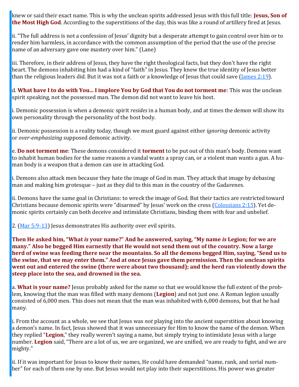knew or said their exact name. This is why the unclean spirits addressed Jesus with this full title: **Jesus, Son of the Most High God**. According to the superstitions of the day, this was like a round of artillery fired at Jesus.

ii. "The full address is not a confession of Jesus' dignity but a desperate attempt to gain control over him or to render him harmless, in accordance with the common assumption of the period that the use of the precise name of an adversary gave one mastery over him." (Lane)

iii. Therefore, in their address of Jesus, they have the right theological facts, but they don't have the right heart. The demons inhabiting him had a kind of "faith" in Jesus. They knew the true identity of Jesus better than the religious leaders did. But it was not a faith or a knowledge of Jesus that could save [\(James 2:19\)](https://www.blueletterbible.org/kjv/james/2/19/s_1148019).

d. **What have I to do with You... I implore You by God that You do not torment me**: This was the unclean spirit speaking, not the possessed man. The demon did not want to leave his host.

i. Demonic possession is when a demonic spirit *resides* in a human body, and at times the demon will show its own personality through the personality of the host body.

ii. Demonic possession is a reality today, though we must guard against either *ignoring* demonic activity or *over-emphasizing* supposed demonic activity.

e. **Do not torment me**: These demons considered it **torment** to be put out of this man's body. Demons want to inhabit human bodies for the same reasons a vandal wants a spray can, or a violent man wants a gun. A human body is a weapon that a demon can use in attacking God.

i. Demons also attack men because they hate the image of God in man. They attack that image by debasing man and making him grotesque – just as they did to this man in the country of the Gadarenes.

ii. Demons have the same goal in Christians: to wreck the image of God. But their tactics are restricted toward Christians because demonic spirits were "disarmed" by Jesus' work on the cross ([Colossians 2:15\).](https://www.blueletterbible.org/kjv/colossians/2/15/s_1109015) Yet demonic spirits certainly can both deceive and intimidate Christians, binding them with fear and unbelief.

2. ([Mar 5:9](https://www.blueletterbible.org/kjv/mark/5/9-13/s_962009)-13) Jesus demonstrates His authority over evil spirits.

**Then He asked him, "What** *is* **your name?" And he answered, saying, "My name** *is* **Legion; for we are many." Also he begged Him earnestly that He would not send them out of the country. Now a large herd of swine was feeding there near the mountains. So all the demons begged Him, saying, "Send us to the swine, that we may enter them." And at once Jesus gave them permission. Then the unclean spirits went out and entered the swine (there were about two thousand); and the herd ran violently down the steep place into the sea, and drowned in the sea.**

a. **What is your name?** Jesus probably asked for the name so that *we* would know the full extent of the problem, knowing that the man was filled with many demons (**Legion**) and not just one. A Roman legion usually consisted of 6,000 men. This does not mean that the man was inhabited with 6,000 demons, but that he had many.

i. From the account as a whole, we see that Jesus was *not* playing into the ancient superstition about knowing a demon's name. In fact, Jesus showed that it was unnecessary for Him to know the name of the demon. When they replied "**Legion**," they really weren't saying a name, but simply trying to intimidate Jesus with a large number. **Legion** said, "There are a lot of us, we are organized, we are unified, we are ready to fight, and we are mighty."

ii. If it was important for Jesus to know their names, He could have demanded "name, rank, and serial number" for each of them one by one. But Jesus would not play into their superstitions. His power was greater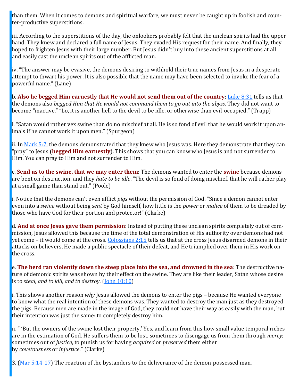than them. When it comes to demons and spiritual warfare, we must never be caught up in foolish and counter-productive superstitions.

iii. According to the superstitions of the day, the onlookers probably felt that the unclean spirits had the upper hand. They knew and declared a full name of Jesus. They evaded His request for their name. And finally, they hoped to frighten Jesus with their large number. But Jesus didn't buy into these ancient superstitions at all and easily cast the unclean spirits out of the afflicted man.

iv. "The answer may be evasive, the demons desiring to withhold their true names from Jesus in a desperate attempt to thwart his power. It is also possible that the name may have been selected to invoke the fear of a powerful name." (Lane)

b. **Also he begged Him earnestly that He would not send them out of the country**: [Luke 8:31](https://www.blueletterbible.org/kjv/luke/8/31/s_981031) tells us that the demons also *begged Him that He would not command them to go out into the abyss*. They did not want to become "inactive." "Lo, it is another hell to the devil to be idle, or otherwise than evil-occupied." (Trapp)

i. "Satan would rather vex swine than do no mischief at all. He is so fond of evil that he would work it upon animals if he cannot work it upon men." (Spurgeon)

ii. In [Mark 5:7,](https://www.blueletterbible.org/kjv/mark/5/7/s_962007) the demons demonstrated that they knew who Jesus was. Here they demonstrate that they can "pray" to Jesus (**begged Him earnestly**). This shows that you can know who Jesus is and not surrender to Him. You can pray to Him and not surrender to Him.

c. **Send us to the swine, that we may enter them**: The demons wanted to enter the **swine** because demons are bent on destruction, and they *hate to be idle*. "The devil is so fond of doing mischief, that he will rather play at a small game than stand out." (Poole)

i. Notice that the demons can't even afflict *pigs* without the permission of God. "Since a demon cannot enter even into a *swine* without being *sent* by God himself, how little is the *power* or *malice* of them to be dreaded by those who have God for their portion and protector!" (Clarke)

d. **And at once Jesus gave them permission**: Instead of putting these unclean spirits completely out of commission, Jesus allowed this because the time of the total demonstration of His authority over demons had not yet come – it would come at the cross. [Colossians 2:15](https://www.blueletterbible.org/kjv/colossians/2/15/s_1109015) tells us that at the cross Jesus disarmed demons in their attacks on believers, He made a public spectacle of their defeat, and He triumphed over them in His work on the cross.

e. **The herd ran violently down the steep place into the sea, and drowned in the sea**: The destructive nature of demonic spirits was shown by their effect on the swine. They are like their leader, Satan whose desire is to *steal, and to kill, and to destroy*. ([John 10:10\)](https://www.blueletterbible.org/kjv/john/10/10/s_1007010)

i. This shows another reason *why* Jesus allowed the demons to enter the pigs – because He wanted everyone to know what the real intention of these demons was. They wanted to destroy the man just as they destroyed the pigs. Because men are made in the image of God, they could not have their way as easily with the man, but their intention was just the same: to completely destroy him.

ii. " 'But the owners of the swine lost their property.' Yes, and learn from this how small value temporal riches are in the estimation of God. He suffers them to be lost, sometimes to disengage us from them through *mercy*; sometimes out of *justice*, to punish us for having *acquired* or *preserved* them either by *covetousness* or *injustice*." (Clarke)

3. ([Mar 5:14](https://www.blueletterbible.org/kjv/mark/5/14-17/s_962014)-17) The reaction of the bystanders to the deliverance of the demon-possessed man.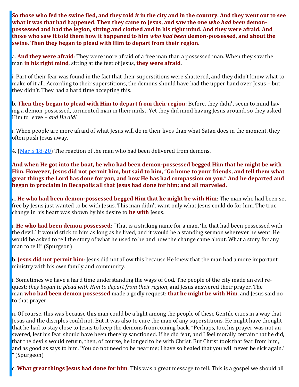**So those who fed the swine fled, and they told** *it* **in the city and in the country. And they went out to see what it was that had happened. Then they came to Jesus, and saw the one** *who had been* **demonpossessed and had the legion, sitting and clothed and in his right mind. And they were afraid. And those who saw it told them how it happened to him** *who had been* **demon-possessed, and about the swine. Then they began to plead with Him to depart from their region.**

a. **And they were afraid**: They were more afraid of a free man than a possessed man. When they saw the man **in his right mind**, sitting at the feet of Jesus, **they were afraid**.

i. Part of their fear was found in the fact that their superstitions were shattered, and they didn't know what to make of it all. According to their superstitions, the demons should have had the upper hand over Jesus – but they didn't. They had a hard time accepting this.

b. **Then they began to plead with Him to depart from their region**: Before, they didn't seem to mind having a demon-possessed, tormented man in their midst. Yet they did mind having Jesus around, so they asked Him to leave – *and He did!*

i. When people are more afraid of what Jesus will do in their lives than what Satan does in the moment, they often push Jesus away.

4. ([Mar 5:18](https://www.blueletterbible.org/kjv/mark/5/18-20/s_962018)-20) The reaction of the man who had been delivered from demons.

**And when He got into the boat, he who had been demon-possessed begged Him that he might be with Him. However, Jesus did not permit him, but said to him, "Go home to your friends, and tell them what great things the Lord has done for you, and how He has had compassion on you." And he departed and began to proclaim in Decapolis all that Jesus had done for him; and all marveled.**

a. **He who had been demon-possessed begged Him that he might be with Him**: The man who had been set free by Jesus just wanted to be with Jesus. This man didn't want only what Jesus could do for him. The true change in his heart was shown by his desire to **be with** Jesus.

i. **He who had been demon possessed**: "That is a striking name for a man, 'he that had been possessed with the devil.' It would stick to him as long as he lived, and it would be a standing sermon wherever he went. He would be asked to tell the story of what he used to be and how the change came about. What a story for any man to tell!" (Spurgeon)

b. **Jesus did not permit him**: Jesus did not allow this because He knew that the man had a more important ministry with his own family and community.

i. Sometimes we have a hard time understanding the ways of God. The people of the city made an evil request: *they began to plead with Him to depart from their region*, and Jesus answered their prayer. The man **who had been demon possessed** made a godly request: **that he might be with Him**, and Jesus said no to that prayer.

ii. Of course, this was because this man could be a light among the people of these Gentile cities in a way that Jesus and the disciples could not. But it was also to cure the man of any superstitions. He might have thought that he had to stay close to Jesus to keep the demons from coming back. "Perhaps, too, his prayer was not answered, lest his fear should have been thereby sanctioned. If he did fear, and I feel morally certain that he did, that the devils would return, then, of course, he longed to be with Christ. But Christ took that fear from him, and as good as says to him, 'You do not need to be near me; I have so healed that you will never be sick again.' " (Spurgeon)

c. **What great things Jesus had done for him**: This was a great message to tell. This is a gospel we should all